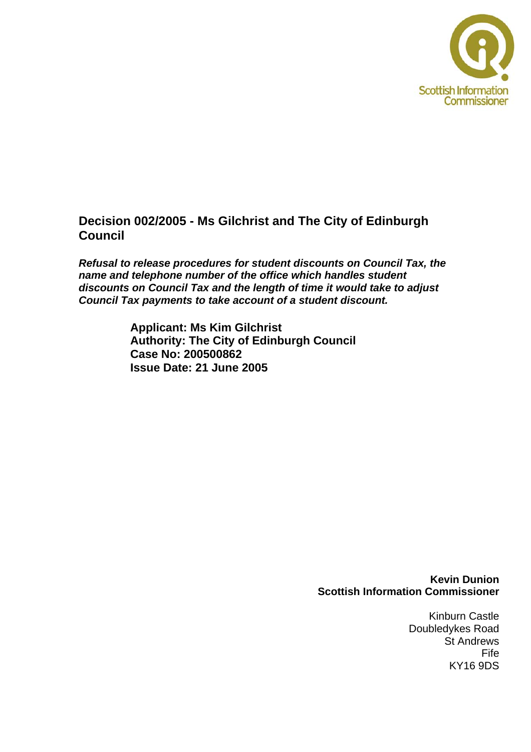

## **Decision 002/2005 - Ms Gilchrist and The City of Edinburgh Council**

*Refusal to release procedures for student discounts on Council Tax, the name and telephone number of the office which handles student discounts on Council Tax and the length of time it would take to adjust Council Tax payments to take account of a student discount.* 

> **Applicant: Ms Kim Gilchrist Authority: The City of Edinburgh Council Case No: 200500862 Issue Date: 21 June 2005**

#### **Kevin Dunion Scottish Information Commissioner**

Kinburn Castle Doubledykes Road St Andrews Fife KY16 9DS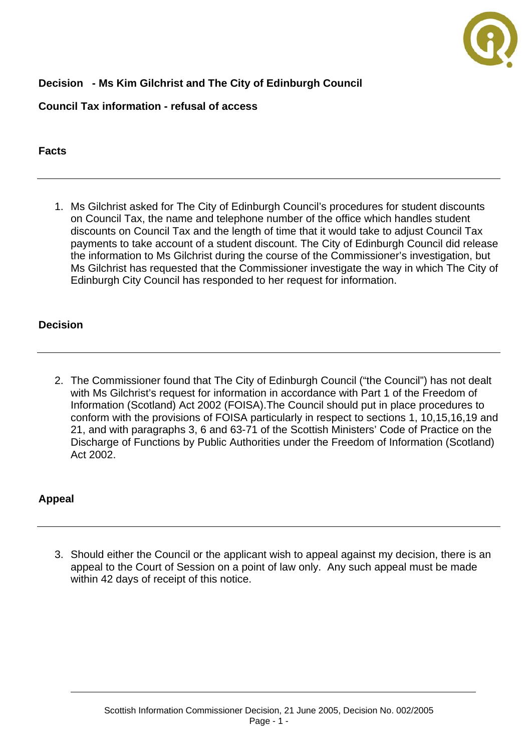

# **Decision - Ms Kim Gilchrist and The City of Edinburgh Council**

### **Council Tax information - refusal of access**

### **Facts**

1. Ms Gilchrist asked for The City of Edinburgh Council's procedures for student discounts on Council Tax, the name and telephone number of the office which handles student discounts on Council Tax and the length of time that it would take to adjust Council Tax payments to take account of a student discount. The City of Edinburgh Council did release the information to Ms Gilchrist during the course of the Commissioner's investigation, but Ms Gilchrist has requested that the Commissioner investigate the way in which The City of Edinburgh City Council has responded to her request for information.

### **Decision**

2. The Commissioner found that The City of Edinburgh Council ("the Council") has not dealt with Ms Gilchrist's request for information in accordance with Part 1 of the Freedom of Information (Scotland) Act 2002 (FOISA).The Council should put in place procedures to conform with the provisions of FOISA particularly in respect to sections 1, 10,15,16,19 and 21, and with paragraphs 3, 6 and 63-71 of the Scottish Ministers' Code of Practice on the Discharge of Functions by Public Authorities under the Freedom of Information (Scotland) Act 2002.

### **Appeal**

3. Should either the Council or the applicant wish to appeal against my decision, there is an appeal to the Court of Session on a point of law only. Any such appeal must be made within 42 days of receipt of this notice.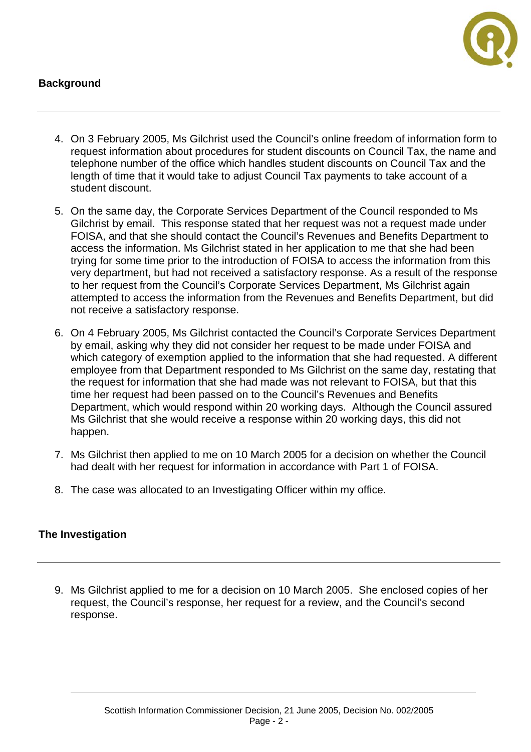### **Background**



- 4. On 3 February 2005, Ms Gilchrist used the Council's online freedom of information form to request information about procedures for student discounts on Council Tax, the name and telephone number of the office which handles student discounts on Council Tax and the length of time that it would take to adjust Council Tax payments to take account of a student discount.
- 5. On the same day, the Corporate Services Department of the Council responded to Ms Gilchrist by email. This response stated that her request was not a request made under FOISA, and that she should contact the Council's Revenues and Benefits Department to access the information. Ms Gilchrist stated in her application to me that she had been trying for some time prior to the introduction of FOISA to access the information from this very department, but had not received a satisfactory response. As a result of the response to her request from the Council's Corporate Services Department, Ms Gilchrist again attempted to access the information from the Revenues and Benefits Department, but did not receive a satisfactory response.
- 6. On 4 February 2005, Ms Gilchrist contacted the Council's Corporate Services Department by email, asking why they did not consider her request to be made under FOISA and which category of exemption applied to the information that she had requested. A different employee from that Department responded to Ms Gilchrist on the same day, restating that the request for information that she had made was not relevant to FOISA, but that this time her request had been passed on to the Council's Revenues and Benefits Department, which would respond within 20 working days. Although the Council assured Ms Gilchrist that she would receive a response within 20 working days, this did not happen.
- 7. Ms Gilchrist then applied to me on 10 March 2005 for a decision on whether the Council had dealt with her request for information in accordance with Part 1 of FOISA.
- 8. The case was allocated to an Investigating Officer within my office.

### **The Investigation**

9. Ms Gilchrist applied to me for a decision on 10 March 2005. She enclosed copies of her request, the Council's response, her request for a review, and the Council's second response.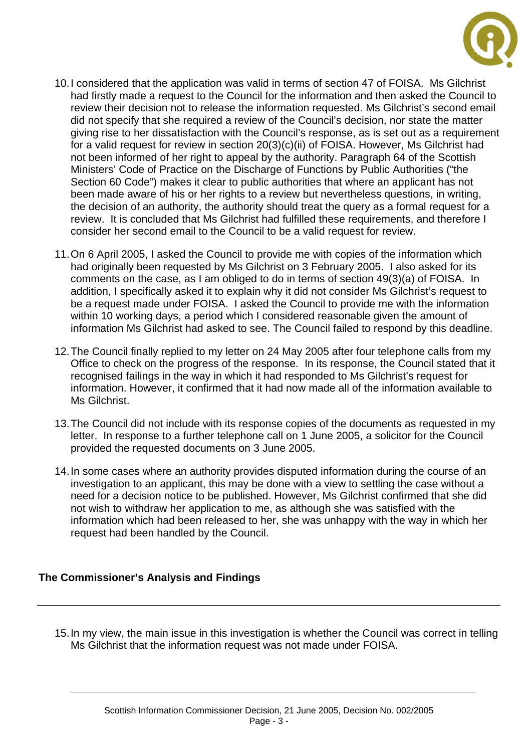

- 10. I considered that the application was valid in terms of section 47 of FOISA. Ms Gilchrist had firstly made a request to the Council for the information and then asked the Council to review their decision not to release the information requested. Ms Gilchrist's second email did not specify that she required a review of the Council's decision, nor state the matter giving rise to her dissatisfaction with the Council's response, as is set out as a requirement for a valid request for review in section 20(3)(c)(ii) of FOISA. However, Ms Gilchrist had not been informed of her right to appeal by the authority. Paragraph 64 of the Scottish Ministers' Code of Practice on the Discharge of Functions by Public Authorities ("the Section 60 Code") makes it clear to public authorities that where an applicant has not been made aware of his or her rights to a review but nevertheless questions, in writing, the decision of an authority, the authority should treat the query as a formal request for a review. It is concluded that Ms Gilchrist had fulfilled these requirements, and therefore I consider her second email to the Council to be a valid request for review.
- 11. On 6 April 2005, I asked the Council to provide me with copies of the information which had originally been requested by Ms Gilchrist on 3 February 2005. I also asked for its comments on the case, as I am obliged to do in terms of section 49(3)(a) of FOISA. In addition, I specifically asked it to explain why it did not consider Ms Gilchrist's request to be a request made under FOISA. I asked the Council to provide me with the information within 10 working days, a period which I considered reasonable given the amount of information Ms Gilchrist had asked to see. The Council failed to respond by this deadline.
- 12. The Council finally replied to my letter on 24 May 2005 after four telephone calls from my Office to check on the progress of the response. In its response, the Council stated that it recognised failings in the way in which it had responded to Ms Gilchrist's request for information. However, it confirmed that it had now made all of the information available to Ms Gilchrist.
- 13. The Council did not include with its response copies of the documents as requested in my letter. In response to a further telephone call on 1 June 2005, a solicitor for the Council provided the requested documents on 3 June 2005.
- 14. In some cases where an authority provides disputed information during the course of an investigation to an applicant, this may be done with a view to settling the case without a need for a decision notice to be published. However, Ms Gilchrist confirmed that she did not wish to withdraw her application to me, as although she was satisfied with the information which had been released to her, she was unhappy with the way in which her request had been handled by the Council.

### **The Commissioner's Analysis and Findings**

15. In my view, the main issue in this investigation is whether the Council was correct in telling Ms Gilchrist that the information request was not made under FOISA.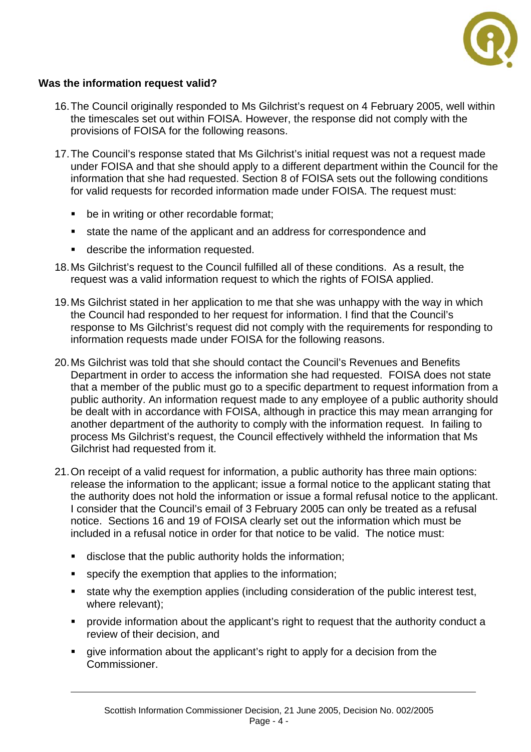

### **Was the information request valid?**

- 16. The Council originally responded to Ms Gilchrist's request on 4 February 2005, well within the timescales set out within FOISA. However, the response did not comply with the provisions of FOISA for the following reasons.
- 17. The Council's response stated that Ms Gilchrist's initial request was not a request made under FOISA and that she should apply to a different department within the Council for the information that she had requested. Section 8 of FOISA sets out the following conditions for valid requests for recorded information made under FOISA. The request must:
	- **•** be in writing or other recordable format:
	- state the name of the applicant and an address for correspondence and
	- **describe the information requested.**
- 18. Ms Gilchrist's request to the Council fulfilled all of these conditions. As a result, the request was a valid information request to which the rights of FOISA applied.
- 19. Ms Gilchrist stated in her application to me that she was unhappy with the way in which the Council had responded to her request for information. I find that the Council's response to Ms Gilchrist's request did not comply with the requirements for responding to information requests made under FOISA for the following reasons.
- 20. Ms Gilchrist was told that she should contact the Council's Revenues and Benefits Department in order to access the information she had requested. FOISA does not state that a member of the public must go to a specific department to request information from a public authority. An information request made to any employee of a public authority should be dealt with in accordance with FOISA, although in practice this may mean arranging for another department of the authority to comply with the information request. In failing to process Ms Gilchrist's request, the Council effectively withheld the information that Ms Gilchrist had requested from it.
- 21. On receipt of a valid request for information, a public authority has three main options: release the information to the applicant; issue a formal notice to the applicant stating that the authority does not hold the information or issue a formal refusal notice to the applicant. I consider that the Council's email of 3 February 2005 can only be treated as a refusal notice. Sections 16 and 19 of FOISA clearly set out the information which must be included in a refusal notice in order for that notice to be valid. The notice must:
	- disclose that the public authority holds the information;
	- specify the exemption that applies to the information;
	- state why the exemption applies (including consideration of the public interest test, where relevant);
	- provide information about the applicant's right to request that the authority conduct a review of their decision, and
	- give information about the applicant's right to apply for a decision from the Commissioner.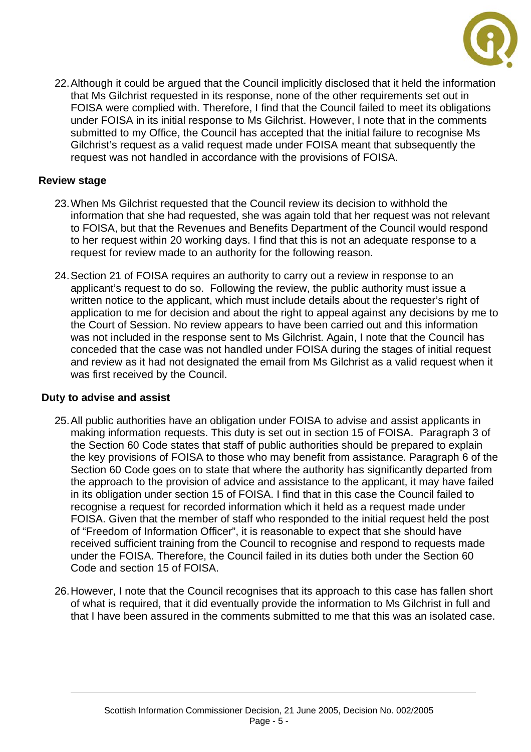

22. Although it could be argued that the Council implicitly disclosed that it held the information that Ms Gilchrist requested in its response, none of the other requirements set out in FOISA were complied with. Therefore, I find that the Council failed to meet its obligations under FOISA in its initial response to Ms Gilchrist. However, I note that in the comments submitted to my Office, the Council has accepted that the initial failure to recognise Ms Gilchrist's request as a valid request made under FOISA meant that subsequently the request was not handled in accordance with the provisions of FOISA.

### **Review stage**

- 23. When Ms Gilchrist requested that the Council review its decision to withhold the information that she had requested, she was again told that her request was not relevant to FOISA, but that the Revenues and Benefits Department of the Council would respond to her request within 20 working days. I find that this is not an adequate response to a request for review made to an authority for the following reason.
- 24. Section 21 of FOISA requires an authority to carry out a review in response to an applicant's request to do so. Following the review, the public authority must issue a written notice to the applicant, which must include details about the requester's right of application to me for decision and about the right to appeal against any decisions by me to the Court of Session. No review appears to have been carried out and this information was not included in the response sent to Ms Gilchrist. Again, I note that the Council has conceded that the case was not handled under FOISA during the stages of initial request and review as it had not designated the email from Ms Gilchrist as a valid request when it was first received by the Council.

### **Duty to advise and assist**

- 25. All public authorities have an obligation under FOISA to advise and assist applicants in making information requests. This duty is set out in section 15 of FOISA. Paragraph 3 of the Section 60 Code states that staff of public authorities should be prepared to explain the key provisions of FOISA to those who may benefit from assistance. Paragraph 6 of the Section 60 Code goes on to state that where the authority has significantly departed from the approach to the provision of advice and assistance to the applicant, it may have failed in its obligation under section 15 of FOISA. I find that in this case the Council failed to recognise a request for recorded information which it held as a request made under FOISA. Given that the member of staff who responded to the initial request held the post of "Freedom of Information Officer", it is reasonable to expect that she should have received sufficient training from the Council to recognise and respond to requests made under the FOISA. Therefore, the Council failed in its duties both under the Section 60 Code and section 15 of FOISA.
- 26. However, I note that the Council recognises that its approach to this case has fallen short of what is required, that it did eventually provide the information to Ms Gilchrist in full and that I have been assured in the comments submitted to me that this was an isolated case.